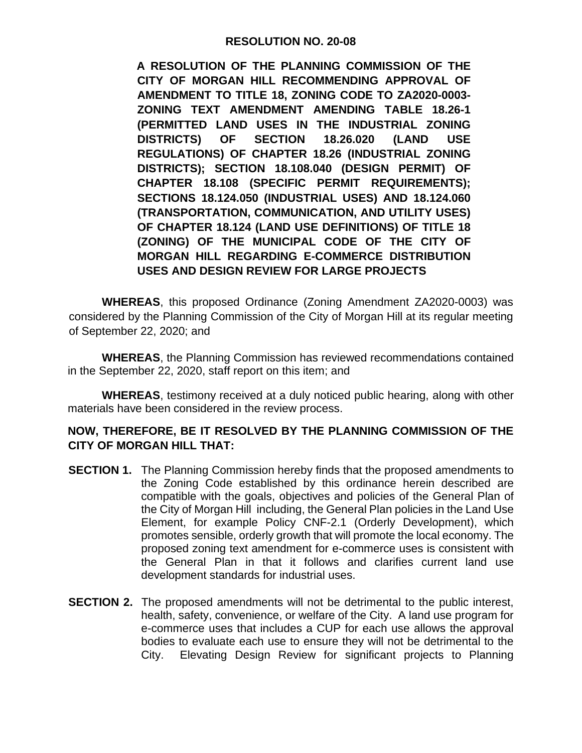## **RESOLUTION NO. 20-08**

**A RESOLUTION OF THE PLANNING COMMISSION OF THE CITY OF MORGAN HILL RECOMMENDING APPROVAL OF AMENDMENT TO TITLE 18, ZONING CODE TO ZA2020-0003- ZONING TEXT AMENDMENT AMENDING TABLE 18.26-1 (PERMITTED LAND USES IN THE INDUSTRIAL ZONING DISTRICTS) OF SECTION 18.26.020 (LAND USE REGULATIONS) OF CHAPTER 18.26 (INDUSTRIAL ZONING DISTRICTS); SECTION 18.108.040 (DESIGN PERMIT) OF CHAPTER 18.108 (SPECIFIC PERMIT REQUIREMENTS); SECTIONS 18.124.050 (INDUSTRIAL USES) AND 18.124.060 (TRANSPORTATION, COMMUNICATION, AND UTILITY USES) OF CHAPTER 18.124 (LAND USE DEFINITIONS) OF TITLE 18 (ZONING) OF THE MUNICIPAL CODE OF THE CITY OF MORGAN HILL REGARDING E-COMMERCE DISTRIBUTION USES AND DESIGN REVIEW FOR LARGE PROJECTS**

**WHEREAS**, this proposed Ordinance (Zoning Amendment ZA2020-0003) was considered by the Planning Commission of the City of Morgan Hill at its regular meeting of September 22, 2020; and

**WHEREAS**, the Planning Commission has reviewed recommendations contained in the September 22, 2020, staff report on this item; and

**WHEREAS**, testimony received at a duly noticed public hearing, along with other materials have been considered in the review process.

## **NOW, THEREFORE, BE IT RESOLVED BY THE PLANNING COMMISSION OF THE CITY OF MORGAN HILL THAT:**

- **SECTION 1.** The Planning Commission hereby finds that the proposed amendments to the Zoning Code established by this ordinance herein described are compatible with the goals, objectives and policies of the General Plan of the City of Morgan Hill including, the General Plan policies in the Land Use Element, for example Policy CNF-2.1 (Orderly Development), which promotes sensible, orderly growth that will promote the local economy. The proposed zoning text amendment for e-commerce uses is consistent with the General Plan in that it follows and clarifies current land use development standards for industrial uses.
- **SECTION 2.** The proposed amendments will not be detrimental to the public interest. health, safety, convenience, or welfare of the City. A land use program for e-commerce uses that includes a CUP for each use allows the approval bodies to evaluate each use to ensure they will not be detrimental to the City. Elevating Design Review for significant projects to Planning